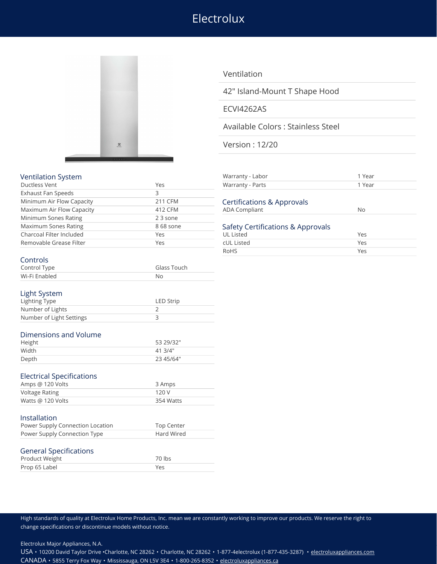# Electrolux



## Ventilation

42" Island-Mount T Shape Hood

## ECVI4262AS

Available Colors : Stainless Steel

Version : 12/20

|  |  | <b>Ventilation Syster</b> |
|--|--|---------------------------|
|--|--|---------------------------|

| Ductless Vent             | Yes       | Warranty - Parts                  | 1 Year    |
|---------------------------|-----------|-----------------------------------|-----------|
| Exhaust Fan Speeds        |           |                                   |           |
| Minimum Air Flow Capacity | 211 CFM   | Certifications & Approvals        |           |
| Maximum Air Flow Capacity | 412 CFM   | <b>ADA Compliant</b>              | <b>No</b> |
| Minimum Sones Rating      | 23 sone   |                                   |           |
| Maximum Sones Rating      | 8 68 sone | Safety Certifications & Approvals |           |
| Charcoal Filter Included  | Yes       | UL Listed                         | Yes       |
| Removable Grease Filter   | Yes       | cUL Listed                        | Yes       |

| Ventilation System        |              | Warranty - Labor                                          | 1 Year       |  |
|---------------------------|--------------|-----------------------------------------------------------|--------------|--|
| Ductless Vent             | Yes          | Warranty - Parts                                          | 1 Year       |  |
| Exhaust Fan Speeds        |              |                                                           |              |  |
| Minimum Air Flow Capacity | 211 CFM      | Certifications & Approvals                                |              |  |
| Maximum Air Flow Capacity | 412 CFM      | ADA Compliant                                             | No           |  |
| Minimum Sones Rating      | 23 sone      |                                                           |              |  |
| Maximum Sones Rating      | 8 68 sone    | Safety Certifications & Approvals                         |              |  |
| Charcoal Filter Included  | Yes          | UL Listed                                                 | Yes          |  |
| Domovable Crosse Filter   | $V_{\Omega}$ | $c$ $  $ $  $ $ $ $ $ $ $ $ $ $ $ $ $ $ $ $ $ $ $ $ $ $ $ | $V_{\Omega}$ |  |

RoHS Yes

# Controls

| Control Type  | Glass Touch |
|---------------|-------------|
| Wi-Fi Enabled | No          |

#### Light System

| Lighting Type            | <b>LED Strip</b> |
|--------------------------|------------------|
| Number of Lights         |                  |
| Number of Light Settings |                  |

### Dimensions and Volume

| Height | 53 29/32" |
|--------|-----------|
| Width  | 41.3/4"   |
| Depth  | 23 45/64" |

|  |  | <b>Electrical Specifications</b> |  |
|--|--|----------------------------------|--|
|--|--|----------------------------------|--|

| Amps @ 120 Volts  | 3 Amps    |
|-------------------|-----------|
| Voltage Rating    | 120 V     |
| Watts @ 120 Volts | 354 Watts |

#### Installation

| Power Supply Connection Location | <b>Top Center</b> |
|----------------------------------|-------------------|
| Power Supply Connection Type     | Hard Wired        |
| <b>General Specifications</b>    |                   |
| Product Weight                   | 70 lbs            |

| Product Weight | 70 lbs |
|----------------|--------|
| Prop 65 Label  | Yes    |
|                |        |

High standards of quality at Electrolux Home Products, Inc. mean we are constantly working to improve our products. We reserve the right to change specifications or discontinue models without notice.

Electrolux Major Appliances, N.A.

USA • 10200 David Taylor Drive •Charlotte, NC 28262 • Charlotte, NC 28262 • 1-877-4electrolux (1-877-435-3287) • [electroluxappliances.com](http://electroluxappliances.com) CANADA • 5855 Terry Fox Way • Mississauga, ON L5V 3E4 • 1-800-265-8352 • [electroluxappliances.ca](http://electroluxappliances.ca)